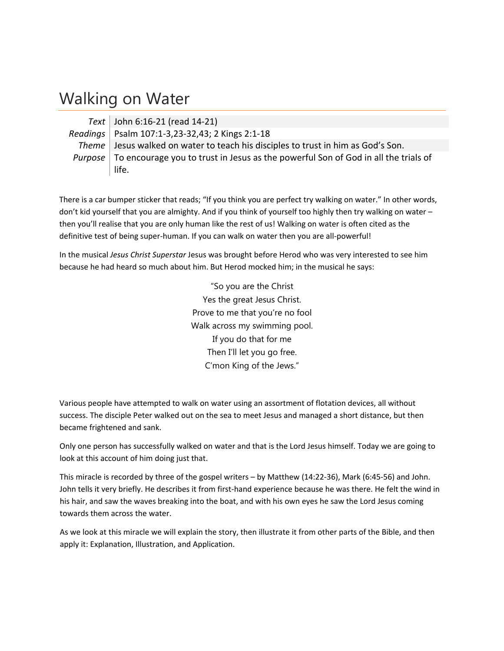## Walking on Water

*Text* John 6:16‐21 (read 14‐21) *Readings* Psalm 107:1‐3,23‐32,43; 2 Kings 2:1‐18 *Theme* Jesus walked on water to teach his disciples to trust in him as God's Son. *Purpose* To encourage you to trust in Jesus as the powerful Son of God in all the trials of life.

There is a car bumper sticker that reads; "If you think you are perfect try walking on water." In other words, don't kid yourself that you are almighty. And if you think of yourself too highly then try walking on water – then you'll realise that you are only human like the rest of us! Walking on water is often cited as the definitive test of being super‐human. If you can walk on water then you are all‐powerful!

In the musical *Jesus Christ Superstar* Jesus was brought before Herod who was very interested to see him because he had heard so much about him. But Herod mocked him; in the musical he says:

> "So you are the Christ Yes the great Jesus Christ. Prove to me that you're no fool Walk across my swimming pool. If you do that for me Then I'll let you go free. C'mon King of the Jews."

Various people have attempted to walk on water using an assortment of flotation devices, all without success. The disciple Peter walked out on the sea to meet Jesus and managed a short distance, but then became frightened and sank.

Only one person has successfully walked on water and that is the Lord Jesus himself. Today we are going to look at this account of him doing just that.

This miracle is recorded by three of the gospel writers – by Matthew (14:22‐36), Mark (6:45‐56) and John. John tells it very briefly. He describes it from first-hand experience because he was there. He felt the wind in his hair, and saw the waves breaking into the boat, and with his own eyes he saw the Lord Jesus coming towards them across the water.

As we look at this miracle we will explain the story, then illustrate it from other parts of the Bible, and then apply it: Explanation, Illustration, and Application.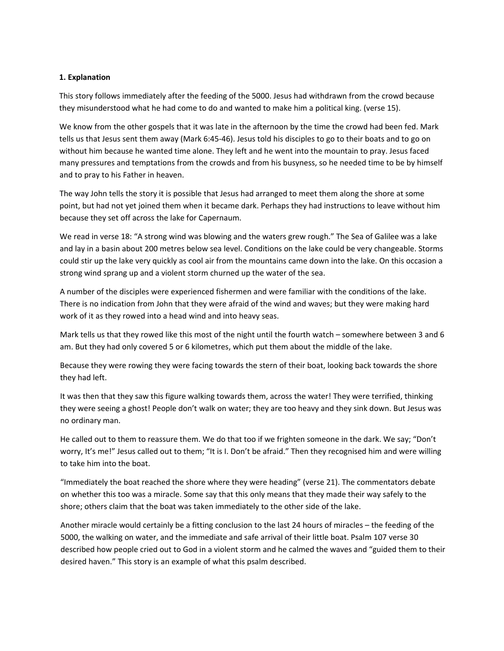## **1. Explanation**

This story follows immediately after the feeding of the 5000. Jesus had withdrawn from the crowd because they misunderstood what he had come to do and wanted to make him a political king. (verse 15).

We know from the other gospels that it was late in the afternoon by the time the crowd had been fed. Mark tells us that Jesus sent them away (Mark 6:45‐46). Jesus told his disciples to go to their boats and to go on without him because he wanted time alone. They left and he went into the mountain to pray. Jesus faced many pressures and temptations from the crowds and from his busyness, so he needed time to be by himself and to pray to his Father in heaven.

The way John tells the story it is possible that Jesus had arranged to meet them along the shore at some point, but had not yet joined them when it became dark. Perhaps they had instructions to leave without him because they set off across the lake for Capernaum.

We read in verse 18: "A strong wind was blowing and the waters grew rough." The Sea of Galilee was a lake and lay in a basin about 200 metres below sea level. Conditions on the lake could be very changeable. Storms could stir up the lake very quickly as cool air from the mountains came down into the lake. On this occasion a strong wind sprang up and a violent storm churned up the water of the sea.

A number of the disciples were experienced fishermen and were familiar with the conditions of the lake. There is no indication from John that they were afraid of the wind and waves; but they were making hard work of it as they rowed into a head wind and into heavy seas.

Mark tells us that they rowed like this most of the night until the fourth watch – somewhere between 3 and 6 am. But they had only covered 5 or 6 kilometres, which put them about the middle of the lake.

Because they were rowing they were facing towards the stern of their boat, looking back towards the shore they had left.

It was then that they saw this figure walking towards them, across the water! They were terrified, thinking they were seeing a ghost! People don't walk on water; they are too heavy and they sink down. But Jesus was no ordinary man.

He called out to them to reassure them. We do that too if we frighten someone in the dark. We say; "Don't worry, It's me!" Jesus called out to them; "It is I. Don't be afraid." Then they recognised him and were willing to take him into the boat.

"Immediately the boat reached the shore where they were heading" (verse 21). The commentators debate on whether this too was a miracle. Some say that this only means that they made their way safely to the shore; others claim that the boat was taken immediately to the other side of the lake.

Another miracle would certainly be a fitting conclusion to the last 24 hours of miracles – the feeding of the 5000, the walking on water, and the immediate and safe arrival of their little boat. Psalm 107 verse 30 described how people cried out to God in a violent storm and he calmed the waves and "guided them to their desired haven." This story is an example of what this psalm described.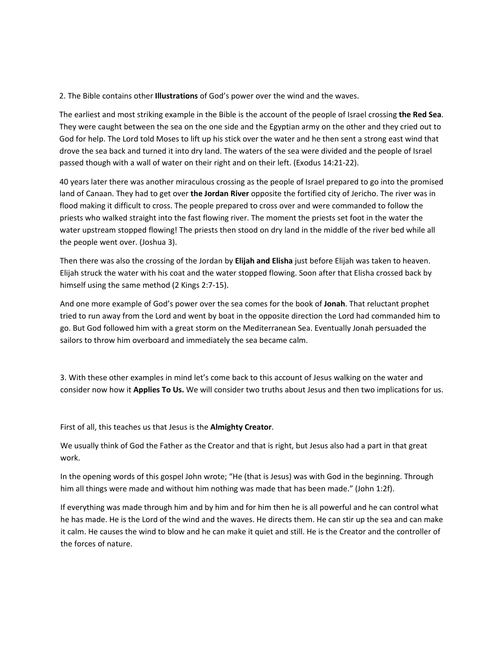2. The Bible contains other **Illustrations** of God's power over the wind and the waves.

The earliest and most striking example in the Bible is the account of the people of Israel crossing **the Red Sea**. They were caught between the sea on the one side and the Egyptian army on the other and they cried out to God for help. The Lord told Moses to lift up his stick over the water and he then sent a strong east wind that drove the sea back and turned it into dry land. The waters of the sea were divided and the people of Israel passed though with a wall of water on their right and on their left. (Exodus 14:21‐22).

40 years later there was another miraculous crossing as the people of Israel prepared to go into the promised land of Canaan. They had to get over **the Jordan River** opposite the fortified city of Jericho. The river was in flood making it difficult to cross. The people prepared to cross over and were commanded to follow the priests who walked straight into the fast flowing river. The moment the priests set foot in the water the water upstream stopped flowing! The priests then stood on dry land in the middle of the river bed while all the people went over. (Joshua 3).

Then there was also the crossing of the Jordan by **Elijah and Elisha** just before Elijah was taken to heaven. Elijah struck the water with his coat and the water stopped flowing. Soon after that Elisha crossed back by himself using the same method (2 Kings 2:7‐15).

And one more example of God's power over the sea comes for the book of **Jonah**. That reluctant prophet tried to run away from the Lord and went by boat in the opposite direction the Lord had commanded him to go. But God followed him with a great storm on the Mediterranean Sea. Eventually Jonah persuaded the sailors to throw him overboard and immediately the sea became calm.

3. With these other examples in mind let's come back to this account of Jesus walking on the water and consider now how it **Applies To Us.** We will consider two truths about Jesus and then two implications for us.

First of all, this teaches us that Jesus is the **Almighty Creator**.

We usually think of God the Father as the Creator and that is right, but Jesus also had a part in that great work.

In the opening words of this gospel John wrote; "He (that is Jesus) was with God in the beginning. Through him all things were made and without him nothing was made that has been made." (John 1:2f).

If everything was made through him and by him and for him then he is all powerful and he can control what he has made. He is the Lord of the wind and the waves. He directs them. He can stir up the sea and can make it calm. He causes the wind to blow and he can make it quiet and still. He is the Creator and the controller of the forces of nature.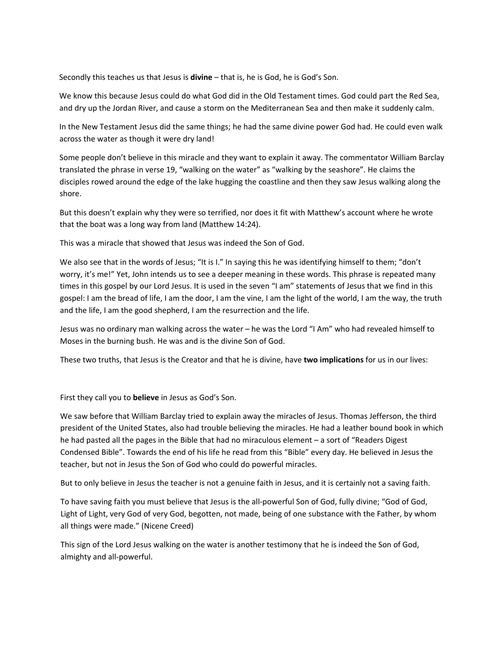Secondly this teaches us that Jesus is **divine** – that is, he is God, he is God's Son.

We know this because Jesus could do what God did in the Old Testament times. God could part the Red Sea, and dry up the Jordan River, and cause a storm on the Mediterranean Sea and then make it suddenly calm.

In the New Testament Jesus did the same things; he had the same divine power God had. He could even walk across the water as though it were dry land!

Some people don't believe in this miracle and they want to explain it away. The commentator William Barclay translated the phrase in verse 19, "walking on the water" as "walking by the seashore". He claims the disciples rowed around the edge of the lake hugging the coastline and then they saw Jesus walking along the shore.

But this doesn't explain why they were so terrified, nor does it fit with Matthew's account where he wrote that the boat was a long way from land (Matthew 14:24).

This was a miracle that showed that Jesus was indeed the Son of God.

We also see that in the words of Jesus; "It is I." In saying this he was identifying himself to them; "don't worry, it's me!" Yet, John intends us to see a deeper meaning in these words. This phrase is repeated many times in this gospel by our Lord Jesus. It is used in the seven "I am" statements of Jesus that we find in this gospel: I am the bread of life, I am the door, I am the vine, I am the light of the world, I am the way, the truth and the life, I am the good shepherd, I am the resurrection and the life.

Jesus was no ordinary man walking across the water – he was the Lord "I Am" who had revealed himself to Moses in the burning bush. He was and is the divine Son of God.

These two truths, that Jesus is the Creator and that he is divine, have **two implications** for us in our lives:

First they call you to **believe** in Jesus as God's Son.

We saw before that William Barclay tried to explain away the miracles of Jesus. Thomas Jefferson, the third president of the United States, also had trouble believing the miracles. He had a leather bound book in which he had pasted all the pages in the Bible that had no miraculous element – a sort of "Readers Digest Condensed Bible". Towards the end of his life he read from this "Bible" every day. He believed in Jesus the teacher, but not in Jesus the Son of God who could do powerful miracles.

But to only believe in Jesus the teacher is not a genuine faith in Jesus, and it is certainly not a saving faith.

To have saving faith you must believe that Jesus is the all‐powerful Son of God, fully divine; "God of God, Light of Light, very God of very God, begotten, not made, being of one substance with the Father, by whom all things were made." (Nicene Creed)

This sign of the Lord Jesus walking on the water is another testimony that he is indeed the Son of God, almighty and all‐powerful.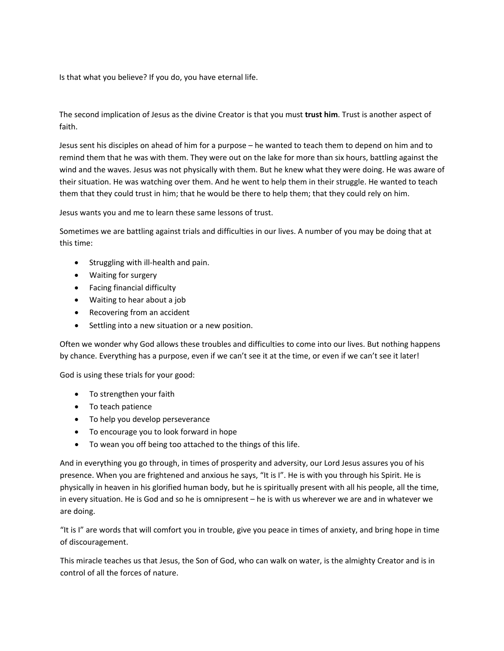Is that what you believe? If you do, you have eternal life.

The second implication of Jesus as the divine Creator is that you must **trust him**. Trust is another aspect of faith.

Jesus sent his disciples on ahead of him for a purpose – he wanted to teach them to depend on him and to remind them that he was with them. They were out on the lake for more than six hours, battling against the wind and the waves. Jesus was not physically with them. But he knew what they were doing. He was aware of their situation. He was watching over them. And he went to help them in their struggle. He wanted to teach them that they could trust in him; that he would be there to help them; that they could rely on him.

Jesus wants you and me to learn these same lessons of trust.

Sometimes we are battling against trials and difficulties in our lives. A number of you may be doing that at this time:

- Struggling with ill-health and pain.
- Waiting for surgery
- Facing financial difficulty
- Waiting to hear about a job
- Recovering from an accident
- Settling into a new situation or a new position.

Often we wonder why God allows these troubles and difficulties to come into our lives. But nothing happens by chance. Everything has a purpose, even if we can't see it at the time, or even if we can't see it later!

God is using these trials for your good:

- To strengthen your faith
- To teach patience
- To help you develop perseverance
- To encourage you to look forward in hope
- To wean you off being too attached to the things of this life.

And in everything you go through, in times of prosperity and adversity, our Lord Jesus assures you of his presence. When you are frightened and anxious he says, "It is I". He is with you through his Spirit. He is physically in heaven in his glorified human body, but he is spiritually present with all his people, all the time, in every situation. He is God and so he is omnipresent – he is with us wherever we are and in whatever we are doing.

"It is I" are words that will comfort you in trouble, give you peace in times of anxiety, and bring hope in time of discouragement.

This miracle teaches us that Jesus, the Son of God, who can walk on water, is the almighty Creator and is in control of all the forces of nature.